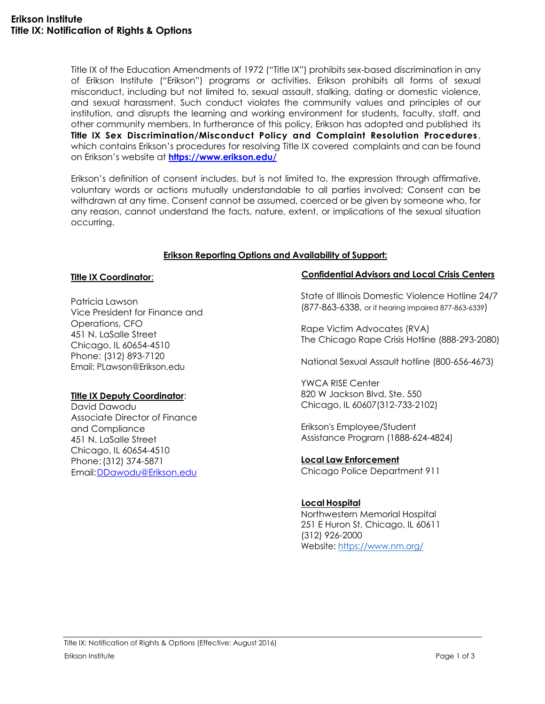Title IX of the Education Amendments of 1972 ("Title IX") prohibits sex-based discrimination in any of Erikson Institute ("Erikson") programs or activities. Erikson prohibits all forms of sexual misconduct, including but not limited to, sexual assault, stalking, dating or domestic violence, and sexual harassment. Such conduct violates the community values and principles of our institution, and disrupts the learning and working environment for students, faculty, staff, and other community members. In furtherance of this policy, Erikson has adopted and published its **Title IX Sex Discrimination/Misconduct Policy and Complaint Resolution Procedures** , which contains Erikson's procedures for resolving Title IX covered complaints and can be found on Erikson's website at **<https://www.erikson.edu/>**

Erikson's definition of consent includes, but is not limited to, the expression through affirmative, voluntary words or actions mutually understandable to all parties involved; Consent can be withdrawn at any time. Consent cannot be assumed, coerced or be given by someone who, for any reason, cannot understand the facts, nature, extent, or implications of the sexual situation occurring.

## **Erikson Reporting Options and Availability of Support:**

#### **Title IX Coordinator**:

Patricia Lawson Vice President for Finance and Operations, CFO 451 N. LaSalle Street Chicago, IL 60654-4510 Phone: (312) 893-7120 Email: PLawson@Erikson.edu

## **Title IX Deputy Coordinator**:

David Dawodu Associate Director of Finance and Compliance 451 N. LaSalle Street Chicago, IL 60654-4510 Phone:(312) 374-5871 Email[:DDawodu@Erikson.edu](mailto:DDawodu@Erikson.edu)

#### **Confidential Advisors and Local Crisis Centers**

State of Illinois Domestic Violence Hotline 24/7 (877-863-6338, or if hearing impaired 877-863-6339)

Rape Victim Advocates (RVA) The Chicago Rape Crisis Hotline (888-293-2080)

National Sexual Assault hotline (800-656-4673)

YWCA RISE Center 820 W Jackson Blvd, Ste. 550 Chicago, IL 60607(312-733-2102)

Erikson's Employee/Student Assistance Program (1888-624-4824)

## **Local Law Enforcement**

Chicago Police Department 911

## **Local Hospital**

Northwestern Memorial Hospital 251 E Huron St, Chicago, IL 60611 (312) 926-2000 Website:<https://www.nm.org/>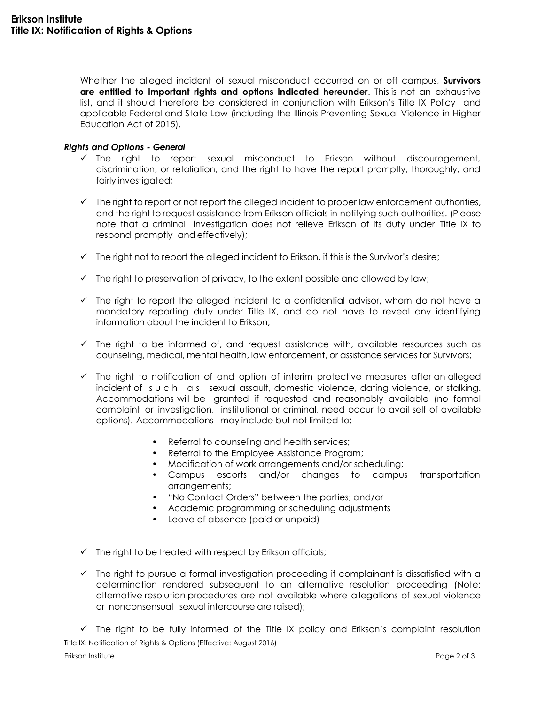Whether the alleged incident of sexual misconduct occurred on or off campus, **Survivors are entitled to important rights and options indicated hereunder**. This is not an exhaustive list, and it should therefore be considered in conjunction with Erikson's Title IX Policy and applicable Federal and State Law (including the Illinois Preventing Sexual Violence in Higher Education Act of 2015).

# *Rights and Options - General*

- $\checkmark$  The right to report sexual misconduct to Erikson without discouragement, discrimination, or retaliation, and the right to have the report promptly, thoroughly, and fairly investigated;
- $\checkmark$  The right to report or not report the alleged incident to proper law enforcement authorities, and the right to request assistance from Erikson officials in notifying such authorities. (Please note that a criminal investigation does not relieve Erikson of its duty under Title IX to respond promptly and effectively);
- $\checkmark$  The right not to report the alleged incident to Erikson, if this is the Survivor's desire;
- $\checkmark$  The right to preservation of privacy, to the extent possible and allowed by law;
- $\checkmark$  The right to report the alleged incident to a confidential advisor, whom do not have a mandatory reporting duty under Title IX, and do not have to reveal any identifying information about the incident to Erikson;
- $\checkmark$  The right to be informed of, and request assistance with, available resources such as counseling, medical, mental health, law enforcement, or assistance services for Survivors;
- $\checkmark$  The right to notification of and option of interim protective measures after an alleged incident of s u c h as sexual assault, domestic violence, dating violence, or stalking. Accommodations will be granted if requested and reasonably available (no formal complaint or investigation, institutional or criminal, need occur to avail self of available options). Accommodations may include but not limited to:
	- Referral to counseling and health services;
	- Referral to the Employee Assistance Program;
	- Modification of work arrangements and/or scheduling;
	- Campus escorts and/or changes to campus transportation arrangements;
	- "No Contact Orders" between the parties; and/or
	- Academic programming or scheduling adjustments
	- Leave of absence (paid or unpaid)
- $\checkmark$  The right to be treated with respect by Erikson officials;
- $\checkmark$  The right to pursue a formal investigation proceeding if complainant is dissatisfied with a determination rendered subsequent to an alternative resolution proceeding (Note: alternative resolution procedures are not available where allegations of sexual violence or nonconsensual sexual intercourse are raised);
- $\checkmark$  The right to be fully informed of the Title IX policy and Erikson's complaint resolution